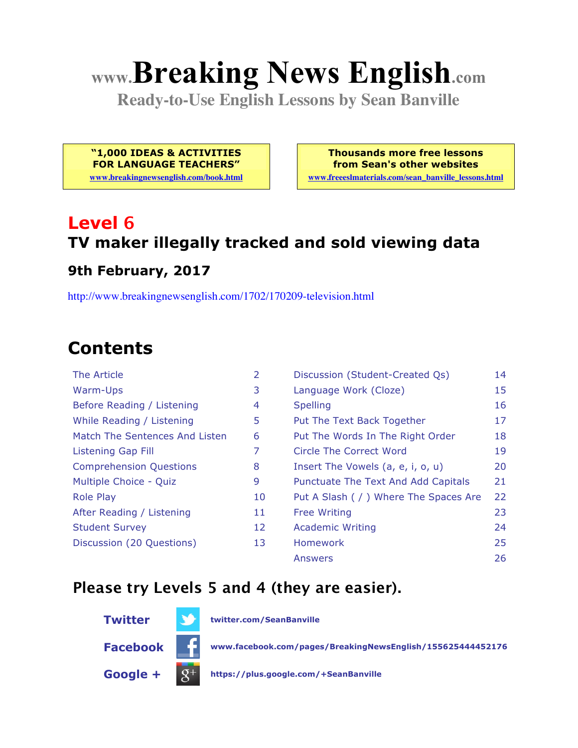# **www.Breaking News English.com**

**Ready-to-Use English Lessons by Sean Banville**

**"1,000 IDEAS & ACTIVITIES FOR LANGUAGE TEACHERS"**

**www.breakingnewsenglish.com/book.html**

**Thousands more free lessons from Sean's other websites www.freeeslmaterials.com/sean\_banville\_lessons.html**

**Level 6 TV maker illegally tracked and sold viewing data**

#### **9th February, 2017**

http://www.breakingnewsenglish.com/1702/170209-television.html

## **Contents**

| The Article                    | 2  |
|--------------------------------|----|
| Warm-Ups                       | 3  |
| Before Reading / Listening     | 4  |
| While Reading / Listening      | 5  |
| Match The Sentences And Listen | 6  |
| <b>Listening Gap Fill</b>      | 7  |
| <b>Comprehension Questions</b> | 8  |
| Multiple Choice - Quiz         | 9  |
| Role Play                      | 10 |
| After Reading / Listening      | 11 |
| <b>Student Survey</b>          | 12 |
| Discussion (20 Questions)      | 13 |
|                                |    |

| The Article                    | $\overline{2}$ | Discussion (Student-Created Qs)        | 14 |
|--------------------------------|----------------|----------------------------------------|----|
| <b>Warm-Ups</b>                | 3              | Language Work (Cloze)                  | 15 |
| Before Reading / Listening     | 4              | <b>Spelling</b>                        | 16 |
| While Reading / Listening      | 5              | Put The Text Back Together             | 17 |
| Match The Sentences And Listen | 6              | Put The Words In The Right Order       | 18 |
| <b>Listening Gap Fill</b>      | 7              | <b>Circle The Correct Word</b>         | 19 |
| <b>Comprehension Questions</b> | 8              | Insert The Vowels (a, e, i, o, u)      | 20 |
| Multiple Choice - Quiz         | 9              | Punctuate The Text And Add Capitals    | 21 |
| <b>Role Play</b>               | 10             | Put A Slash ( / ) Where The Spaces Are | 22 |
| After Reading / Listening      | 11             | <b>Free Writing</b>                    | 23 |
| <b>Student Survey</b>          | 12             | <b>Academic Writing</b>                | 24 |
| Discussion (20 Questions)      | 13             | <b>Homework</b>                        | 25 |
|                                |                | Answers                                | 26 |
|                                |                |                                        |    |

#### **Please try Levels 5 and 4 (they are easier).**



**Twitter twitter.com/SeanBanville**

**Facebook www.facebook.com/pages/BreakingNewsEnglish/155625444452176**

**Google + https://plus.google.com/+SeanBanville**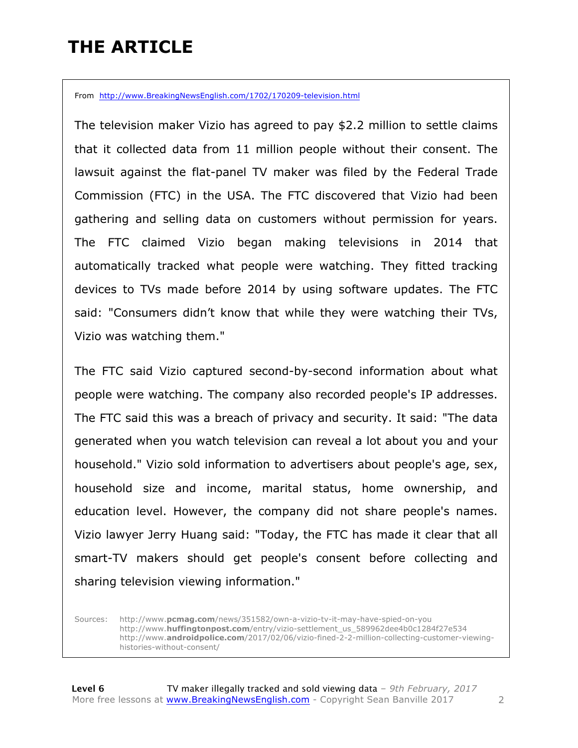## **THE ARTICLE**

From http://www.BreakingNewsEnglish.com/1702/170209-television.html

The television maker Vizio has agreed to pay \$2.2 million to settle claims that it collected data from 11 million people without their consent. The lawsuit against the flat-panel TV maker was filed by the Federal Trade Commission (FTC) in the USA. The FTC discovered that Vizio had been gathering and selling data on customers without permission for years. The FTC claimed Vizio began making televisions in 2014 that automatically tracked what people were watching. They fitted tracking devices to TVs made before 2014 by using software updates. The FTC said: "Consumers didn't know that while they were watching their TVs, Vizio was watching them."

The FTC said Vizio captured second-by-second information about what people were watching. The company also recorded people's IP addresses. The FTC said this was a breach of privacy and security. It said: "The data generated when you watch television can reveal a lot about you and your household." Vizio sold information to advertisers about people's age, sex, household size and income, marital status, home ownership, and education level. However, the company did not share people's names. Vizio lawyer Jerry Huang said: "Today, the FTC has made it clear that all smart-TV makers should get people's consent before collecting and sharing television viewing information."

Sources: http://www.**pcmag.com**/news/351582/own-a-vizio-tv-it-may-have-spied-on-you http://www.**huffingtonpost.com**/entry/vizio-settlement\_us\_589962dee4b0c1284f27e534 http://www.**androidpolice.com**/2017/02/06/vizio-fined-2-2-million-collecting-customer-viewinghistories-without-consent/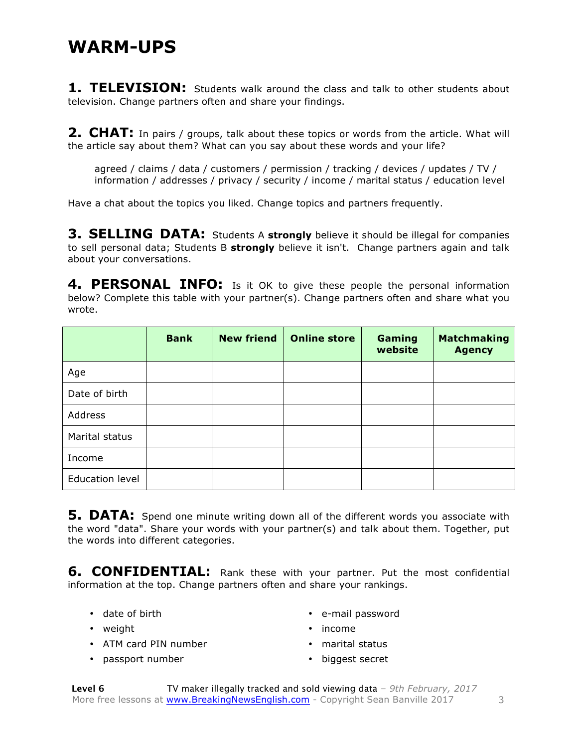#### **WARM-UPS**

**1. TELEVISION:** Students walk around the class and talk to other students about television. Change partners often and share your findings.

**2. CHAT:** In pairs / groups, talk about these topics or words from the article. What will the article say about them? What can you say about these words and your life?

agreed / claims / data / customers / permission / tracking / devices / updates / TV / information / addresses / privacy / security / income / marital status / education level

Have a chat about the topics you liked. Change topics and partners frequently.

**3. SELLING DATA:** Students A **strongly** believe it should be illegal for companies to sell personal data; Students B **strongly** believe it isn't. Change partners again and talk about your conversations.

4. PERSONAL INFO: Is it OK to give these people the personal information below? Complete this table with your partner(s). Change partners often and share what you wrote.

|                        | <b>Bank</b> | <b>New friend</b> | <b>Online store</b> | Gaming<br>website | <b>Matchmaking</b><br><b>Agency</b> |
|------------------------|-------------|-------------------|---------------------|-------------------|-------------------------------------|
| Age                    |             |                   |                     |                   |                                     |
| Date of birth          |             |                   |                     |                   |                                     |
| Address                |             |                   |                     |                   |                                     |
| Marital status         |             |                   |                     |                   |                                     |
| Income                 |             |                   |                     |                   |                                     |
| <b>Education level</b> |             |                   |                     |                   |                                     |

**5. DATA:** Spend one minute writing down all of the different words you associate with the word "data". Share your words with your partner(s) and talk about them. Together, put the words into different categories.

**6. CONFIDENTIAL:** Rank these with your partner. Put the most confidential information at the top. Change partners often and share your rankings.

- date of birth
- weight

• e-mail password

• ATM card PIN number

• income

- 
- passport number
- marital status
- biggest secret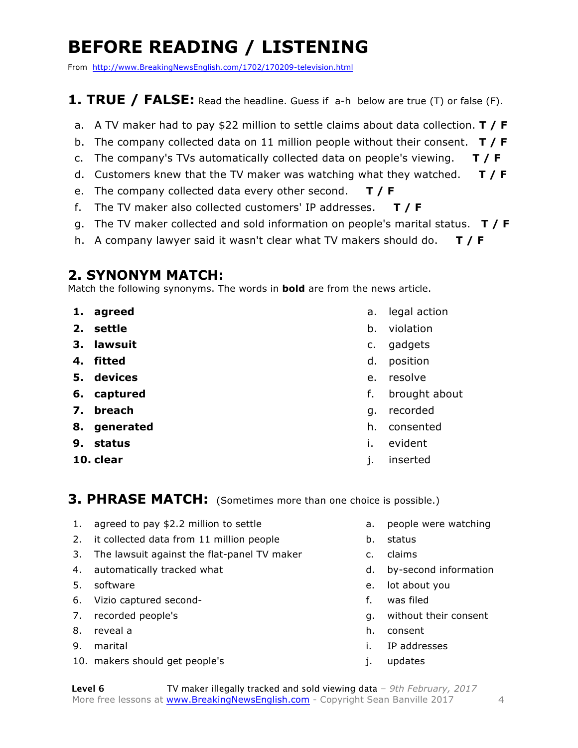## **BEFORE READING / LISTENING**

From http://www.BreakingNewsEnglish.com/1702/170209-television.html

#### **1. TRUE / FALSE:** Read the headline. Guess if a-h below are true (T) or false (F).

- a. A TV maker had to pay \$22 million to settle claims about data collection. **T / F**
- b. The company collected data on 11 million people without their consent. **T / F**
- c. The company's TVs automatically collected data on people's viewing. **T / F**
- d. Customers knew that the TV maker was watching what they watched. **T / F**
- e. The company collected data every other second. **T / F**
- f. The TV maker also collected customers' IP addresses. **T / F**
- g. The TV maker collected and sold information on people's marital status. **T / F**
- h. A company lawyer said it wasn't clear what TV makers should do. **T / F**

#### **2. SYNONYM MATCH:**

Match the following synonyms. The words in **bold** are from the news article.

- **1. agreed**
- **2. settle**
- **3. lawsuit**
- **4. fitted**
- **5. devices**
- **6. captured**
- **7. breach**
- **8. generated**
- **9. status**
- **10. clear**
- a. legal action
- b. violation
- c. gadgets
- d. position
- e. resolve
- f. brought about
- g. recorded
- h. consented
- i. evident
- j. inserted

#### **3. PHRASE MATCH:** (Sometimes more than one choice is possible.)

- 1. agreed to pay \$2.2 million to settle
- 2. it collected data from 11 million people
- 3. The lawsuit against the flat-panel TV maker
- 4. automatically tracked what
- 5. software
- 6. Vizio captured second-
- 7. recorded people's
- 8. reveal a
- 9. marital
- 10. makers should get people's
- a. people were watching
- b. status
- c. claims
- d. by-second information
- e. lot about you
- f. was filed
- g. without their consent
- h. consent
- i. IP addresses
- j. updates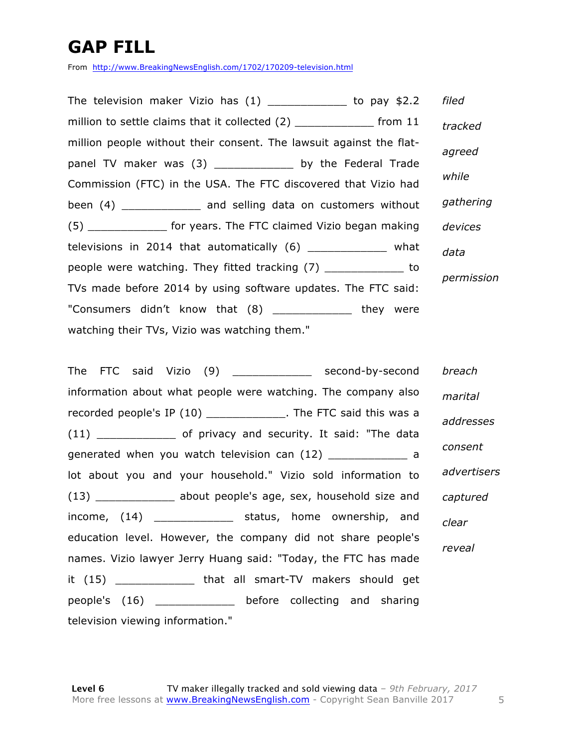## **GAP FILL**

From http://www.BreakingNewsEnglish.com/1702/170209-television.html

| The television maker Vizio has $(1)$ _____________ to pay \$2.2           | filed      |
|---------------------------------------------------------------------------|------------|
| million to settle claims that it collected $(2)$ ________________ from 11 | tracked    |
| million people without their consent. The lawsuit against the flat-       | agreed     |
| panel TV maker was (3) ______________ by the Federal Trade                |            |
| Commission (FTC) in the USA. The FTC discovered that Vizio had            | while      |
| been (4) _______________ and selling data on customers without            | gathering  |
| (5) ________________ for years. The FTC claimed Vizio began making        | devices    |
| televisions in 2014 that automatically (6) ______________ what            | data       |
| people were watching. They fitted tracking (7) ______________ to          |            |
| TVs made before 2014 by using software updates. The FTC said:             | permission |
| "Consumers didn't know that (8) _____________ they were                   |            |
| watching their TVs, Vizio was watching them."                             |            |

The FTC said Vizio (9) \_\_\_\_\_\_\_\_\_\_\_\_ second-by-second information about what people were watching. The company also recorded people's IP (10) \_\_\_\_\_\_\_\_\_\_\_\_\_. The FTC said this was a (11) \_\_\_\_\_\_\_\_\_\_\_\_ of privacy and security. It said: "The data generated when you watch television can (12) \_\_\_\_\_\_\_\_\_\_\_\_ a lot about you and your household." Vizio sold information to (13) **about people's age, sex, household size and** income, (14) \_\_\_\_\_\_\_\_\_\_\_\_ status, home ownership, and education level. However, the company did not share people's names. Vizio lawyer Jerry Huang said: "Today, the FTC has made it (15) \_\_\_\_\_\_\_\_\_\_\_\_ that all smart-TV makers should get people's (16) \_\_\_\_\_\_\_\_\_\_\_\_ before collecting and sharing television viewing information." *breach marital addresses consent advertisers captured clear reveal*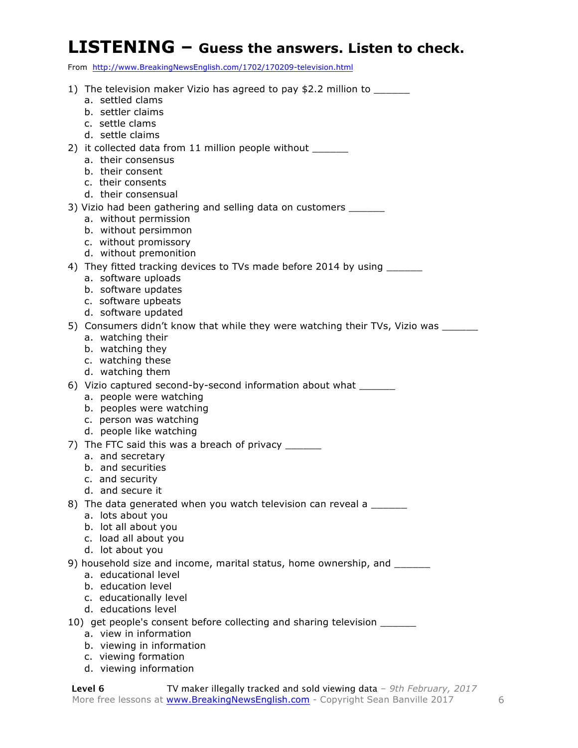#### **LISTENING – Guess the answers. Listen to check.**

From http://www.BreakingNewsEnglish.com/1702/170209-television.html

| 1) The television maker Vizio has agreed to pay \$2.2 million to _______<br>a. settled clams              |
|-----------------------------------------------------------------------------------------------------------|
| b. settler claims<br>c. settle clams                                                                      |
| d. settle claims<br>2) it collected data from 11 million people without ______                            |
| a. their consensus<br>b. their consent                                                                    |
| c. their consents<br>d. their consensual                                                                  |
| 3) Vizio had been gathering and selling data on customers _______<br>a. without permission                |
| b. without persimmon<br>c. without promissory                                                             |
| d. without premonition                                                                                    |
| 4) They fitted tracking devices to TVs made before 2014 by using _______<br>a. software uploads           |
| b. software updates<br>c. software upbeats                                                                |
| d. software updated<br>5) Consumers didn't know that while they were watching their TVs, Vizio was ______ |
| a. watching their<br>b. watching they                                                                     |
| c. watching these                                                                                         |
| d. watching them<br>6) Vizio captured second-by-second information about what ______                      |
| a. people were watching<br>b. peoples were watching                                                       |
| c. person was watching<br>d. people like watching                                                         |
| 7) The FTC said this was a breach of privacy ______<br>a. and secretary                                   |
| b. and securities<br>c. and security                                                                      |
| d. and secure it                                                                                          |
| 8) The data generated when you watch television can reveal a ______<br>a. lots about you                  |
| b. lot all about you<br>c. load all about you                                                             |
| d. lot about you<br>9) household size and income, marital status, home ownership, and _______             |
| a. educational level<br>b. education level                                                                |
| c. educationally level<br>d. educations level                                                             |
| 10) get people's consent before collecting and sharing television ______                                  |
| a. view in information<br>b. viewing in information                                                       |
| c. viewing formation<br>d. viewing information                                                            |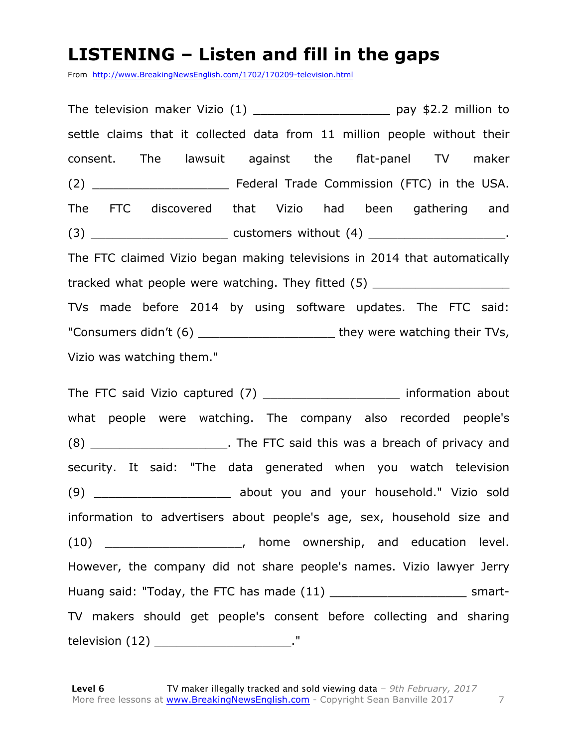#### **LISTENING – Listen and fill in the gaps**

From http://www.BreakingNewsEnglish.com/1702/170209-television.html

The television maker Vizio  $(1)$  \_\_\_\_\_\_\_\_\_\_\_\_\_\_\_\_\_\_\_\_\_\_\_\_ pay \$2.2 million to settle claims that it collected data from 11 million people without their consent. The lawsuit against the flat-panel TV maker (2) \_\_\_\_\_\_\_\_\_\_\_\_\_\_\_\_\_\_\_ Federal Trade Commission (FTC) in the USA. The FTC discovered that Vizio had been gathering and (3) \_\_\_\_\_\_\_\_\_\_\_\_\_\_\_\_\_\_\_ customers without (4) \_\_\_\_\_\_\_\_\_\_\_\_\_\_\_\_\_\_\_. The FTC claimed Vizio began making televisions in 2014 that automatically tracked what people were watching. They fitted (5) TVs made before 2014 by using software updates. The FTC said: "Consumers didn't (6) \_\_\_\_\_\_\_\_\_\_\_\_\_\_\_\_\_\_\_ they were watching their TVs, Vizio was watching them."

The FTC said Vizio captured (7) \_\_\_\_\_\_\_\_\_\_\_\_\_\_\_\_\_\_\_ information about what people were watching. The company also recorded people's (8) \_\_\_\_\_\_\_\_\_\_\_\_\_\_\_\_\_\_\_. The FTC said this was a breach of privacy and security. It said: "The data generated when you watch television (9) \_\_\_\_\_\_\_\_\_\_\_\_\_\_\_\_\_\_\_ about you and your household." Vizio sold information to advertisers about people's age, sex, household size and (10) \_\_\_\_\_\_\_\_\_\_\_\_\_\_\_\_\_\_\_, home ownership, and education level. However, the company did not share people's names. Vizio lawyer Jerry Huang said: "Today, the FTC has made (11) \_\_\_\_\_\_\_\_\_\_\_\_\_\_\_\_\_\_\_\_\_\_\_\_\_ smart-TV makers should get people's consent before collecting and sharing television (12) \_\_\_\_\_\_\_\_\_\_\_\_\_\_\_\_\_\_\_\_\_\_\_\_\_\_. "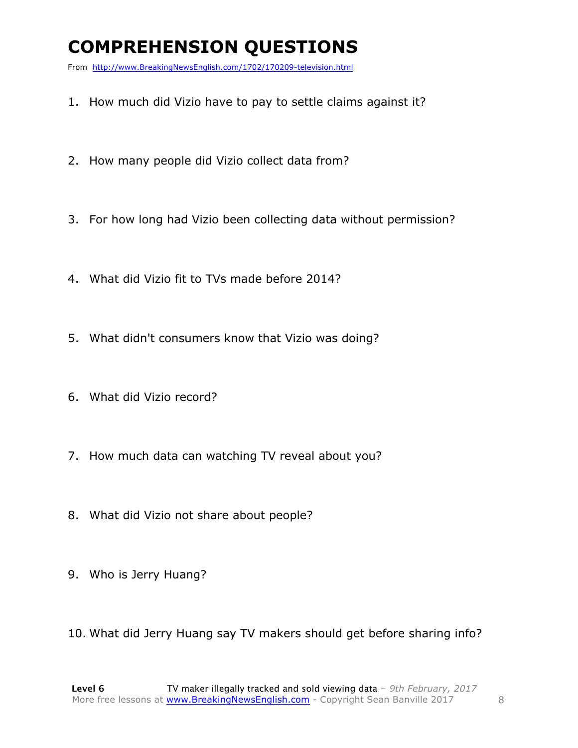## **COMPREHENSION QUESTIONS**

From http://www.BreakingNewsEnglish.com/1702/170209-television.html

- 1. How much did Vizio have to pay to settle claims against it?
- 2. How many people did Vizio collect data from?
- 3. For how long had Vizio been collecting data without permission?
- 4. What did Vizio fit to TVs made before 2014?
- 5. What didn't consumers know that Vizio was doing?
- 6. What did Vizio record?
- 7. How much data can watching TV reveal about you?
- 8. What did Vizio not share about people?
- 9. Who is Jerry Huang?
- 10. What did Jerry Huang say TV makers should get before sharing info?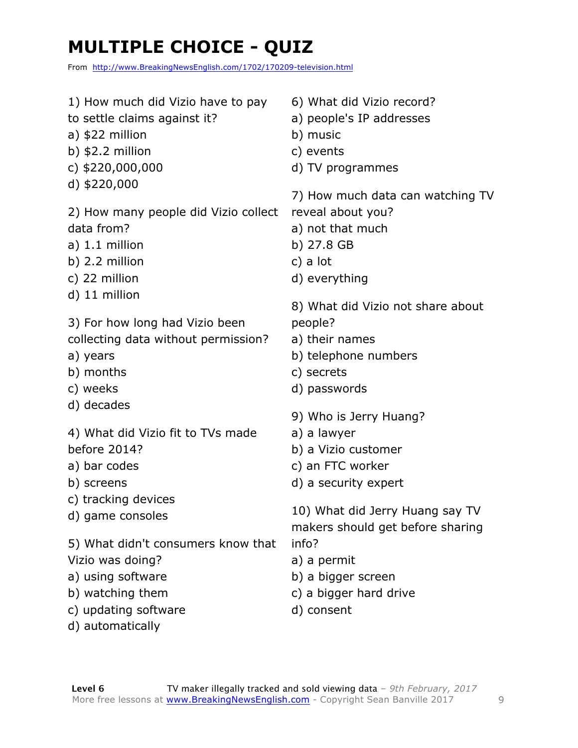## **MULTIPLE CHOICE - QUIZ**

From http://www.BreakingNewsEnglish.com/1702/170209-television.html

| 6) What did Vizio record?<br>a) people's IP addresses<br>b) music<br>c) events<br>d) TV programmes<br>7) How much data can watching TV<br>reveal about you?<br>a) not that much<br>b) 27.8 GB<br>c) a lot<br>d) everything<br>8) What did Vizio not share about<br>people?<br>a) their names<br>b) telephone numbers<br>c) secrets<br>d) passwords<br>9) Who is Jerry Huang?<br>a) a lawyer<br>b) a Vizio customer<br>c) an FTC worker<br>d) a security expert<br>10) What did Jerry Huang say TV<br>makers should get before sharing |
|---------------------------------------------------------------------------------------------------------------------------------------------------------------------------------------------------------------------------------------------------------------------------------------------------------------------------------------------------------------------------------------------------------------------------------------------------------------------------------------------------------------------------------------|
| info?<br>a) a permit<br>b) a bigger screen<br>c) a bigger hard drive<br>d) consent                                                                                                                                                                                                                                                                                                                                                                                                                                                    |
|                                                                                                                                                                                                                                                                                                                                                                                                                                                                                                                                       |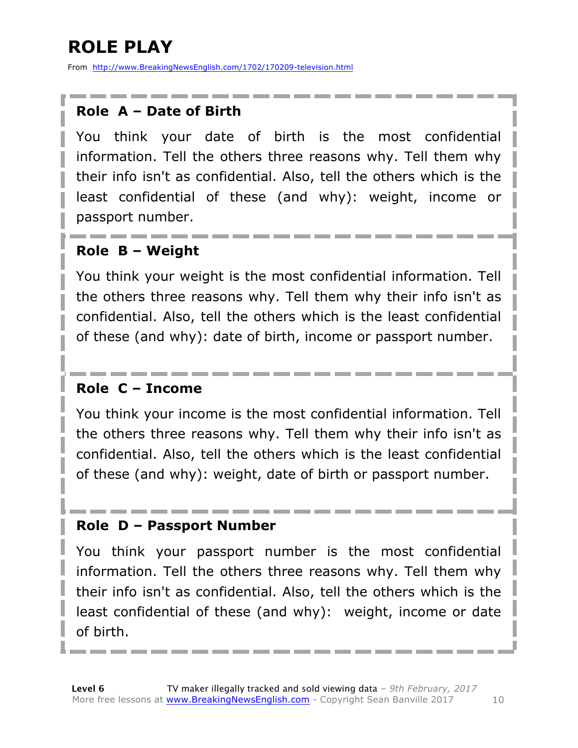## **ROLE PLAY**

From http://www.BreakingNewsEnglish.com/1702/170209-television.html

#### **Role A – Date of Birth**

You think your date of birth is the most confidential information. Tell the others three reasons why. Tell them why their info isn't as confidential. Also, tell the others which is the least confidential of these (and why): weight, income or passport number.

#### **Role B – Weight**

You think your weight is the most confidential information. Tell the others three reasons why. Tell them why their info isn't as confidential. Also, tell the others which is the least confidential of these (and why): date of birth, income or passport number.

#### **Role C – Income**

You think your income is the most confidential information. Tell the others three reasons why. Tell them why their info isn't as confidential. Also, tell the others which is the least confidential of these (and why): weight, date of birth or passport number.

#### **Role D – Passport Number**

You think your passport number is the most confidential information. Tell the others three reasons why. Tell them why their info isn't as confidential. Also, tell the others which is the least confidential of these (and why): weight, income or date of birth.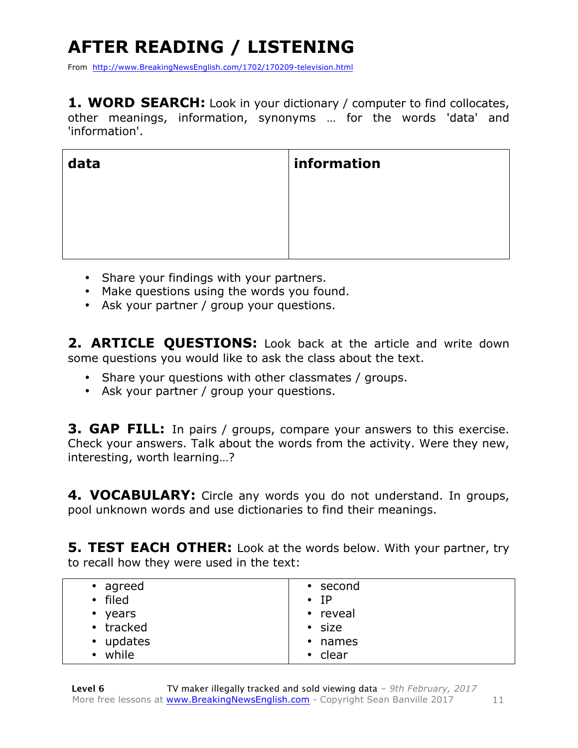## **AFTER READING / LISTENING**

From http://www.BreakingNewsEnglish.com/1702/170209-television.html

**1. WORD SEARCH:** Look in your dictionary / computer to find collocates, other meanings, information, synonyms … for the words 'data' and 'information'.

| data | information |
|------|-------------|
|      |             |
|      |             |
|      |             |

- Share your findings with your partners.
- Make questions using the words you found.
- Ask your partner / group your questions.

2. **ARTICLE QUESTIONS:** Look back at the article and write down some questions you would like to ask the class about the text.

- Share your questions with other classmates / groups.
- Ask your partner / group your questions.

**3. GAP FILL:** In pairs / groups, compare your answers to this exercise. Check your answers. Talk about the words from the activity. Were they new, interesting, worth learning…?

**4. VOCABULARY:** Circle any words you do not understand. In groups, pool unknown words and use dictionaries to find their meanings.

**5. TEST EACH OTHER:** Look at the words below. With your partner, try to recall how they were used in the text:

| $\bullet$ agreed | $\cdot$ second |
|------------------|----------------|
| · filed          | $\cdot$ IP     |
| • years          | • reveal       |
| • tracked        | $\cdot$ size   |
| • updates        | • names        |
| • while          | • clear        |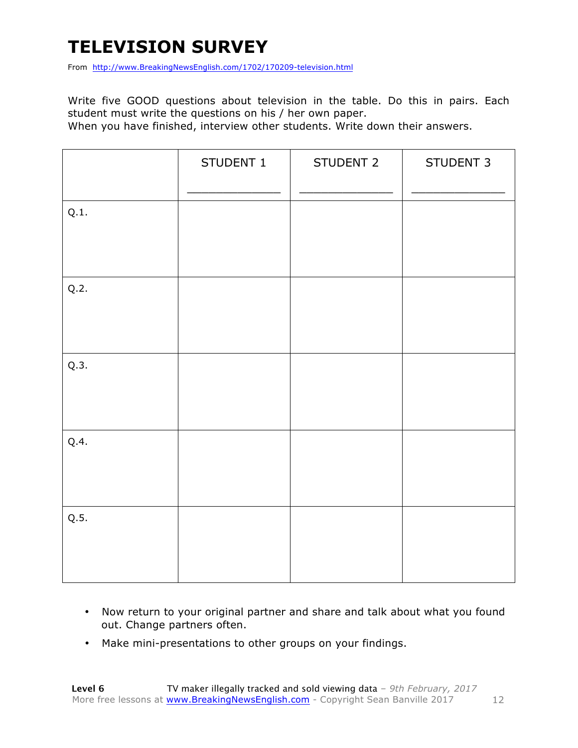## **TELEVISION SURVEY**

From http://www.BreakingNewsEnglish.com/1702/170209-television.html

Write five GOOD questions about television in the table. Do this in pairs. Each student must write the questions on his / her own paper.

When you have finished, interview other students. Write down their answers.

|      | STUDENT 1 | STUDENT 2 | STUDENT 3 |
|------|-----------|-----------|-----------|
| Q.1. |           |           |           |
| Q.2. |           |           |           |
| Q.3. |           |           |           |
| Q.4. |           |           |           |
| Q.5. |           |           |           |

- Now return to your original partner and share and talk about what you found out. Change partners often.
- Make mini-presentations to other groups on your findings.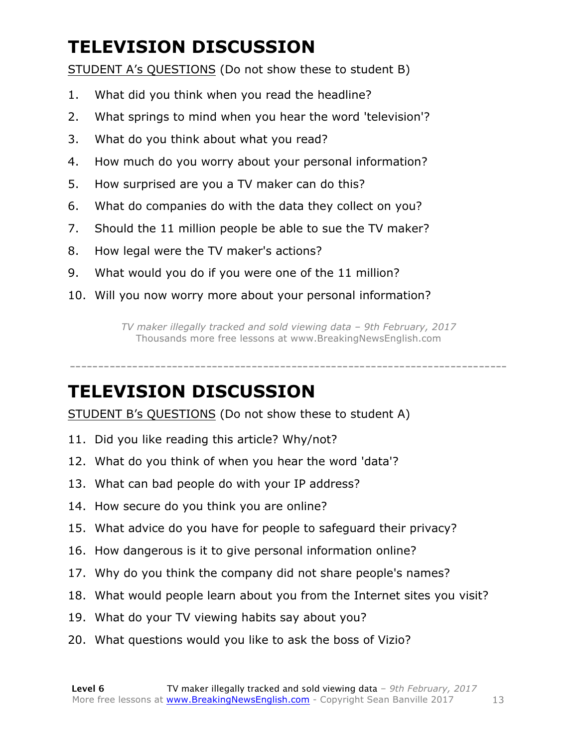## **TELEVISION DISCUSSION**

STUDENT A's QUESTIONS (Do not show these to student B)

- 1. What did you think when you read the headline?
- 2. What springs to mind when you hear the word 'television'?
- 3. What do you think about what you read?
- 4. How much do you worry about your personal information?
- 5. How surprised are you a TV maker can do this?
- 6. What do companies do with the data they collect on you?
- 7. Should the 11 million people be able to sue the TV maker?
- 8. How legal were the TV maker's actions?
- 9. What would you do if you were one of the 11 million?
- 10. Will you now worry more about your personal information?

*TV maker illegally tracked and sold viewing data – 9th February, 2017* Thousands more free lessons at www.BreakingNewsEnglish.com

-----------------------------------------------------------------------------

#### **TELEVISION DISCUSSION**

STUDENT B's QUESTIONS (Do not show these to student A)

- 11. Did you like reading this article? Why/not?
- 12. What do you think of when you hear the word 'data'?
- 13. What can bad people do with your IP address?
- 14. How secure do you think you are online?
- 15. What advice do you have for people to safeguard their privacy?
- 16. How dangerous is it to give personal information online?
- 17. Why do you think the company did not share people's names?
- 18. What would people learn about you from the Internet sites you visit?
- 19. What do your TV viewing habits say about you?
- 20. What questions would you like to ask the boss of Vizio?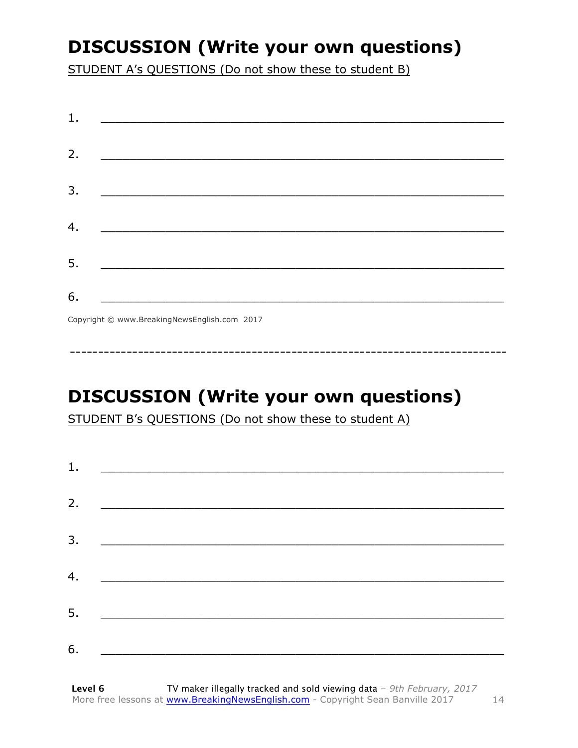## **DISCUSSION (Write your own questions)**

STUDENT A's QUESTIONS (Do not show these to student B)

| 1. | <u> 1980 - Andrea Barbara, amerikan basar basa dan basa dan basa dan basa dan basa dan basa dan basa dan basa da</u>  |
|----|-----------------------------------------------------------------------------------------------------------------------|
|    |                                                                                                                       |
| 2. |                                                                                                                       |
|    |                                                                                                                       |
| 3. | <u> 2002 - Jan James James Barnett, amerikansk politik (</u>                                                          |
|    |                                                                                                                       |
| 4. |                                                                                                                       |
|    |                                                                                                                       |
| 5. | <u> Terminal de la propincia de la propincia de la propincia de la propincia de la propincia de la propincia de l</u> |
|    |                                                                                                                       |
| 6. |                                                                                                                       |
|    | $\sigma$ $\cdots$ $\sigma$ $\sigma$ $\cdots$ $\sigma$ $\cdots$ $\sigma$ $\sigma$                                      |

Copyright © www.BreakingNewsEnglish.com 2017

## **DISCUSSION (Write your own questions)**

STUDENT B's QUESTIONS (Do not show these to student A)

| 1. |                                                                                                                                                                                                                                      |  |
|----|--------------------------------------------------------------------------------------------------------------------------------------------------------------------------------------------------------------------------------------|--|
|    |                                                                                                                                                                                                                                      |  |
| 2. | <u> Alexandria de la contrada de la contrada de la contrada de la contrada de la contrada de la contrada de la c</u>                                                                                                                 |  |
| 3. |                                                                                                                                                                                                                                      |  |
| 4. |                                                                                                                                                                                                                                      |  |
|    |                                                                                                                                                                                                                                      |  |
| 5. | <u> 1980 - Johann Stoff, deutscher Stoffen und der Stoffen und der Stoffen und der Stoffen und der Stoffen und der Stoffen und der Stoffen und der Stoffen und der Stoffen und der Stoffen und der Stoffen und der Stoffen und d</u> |  |
| 6. |                                                                                                                                                                                                                                      |  |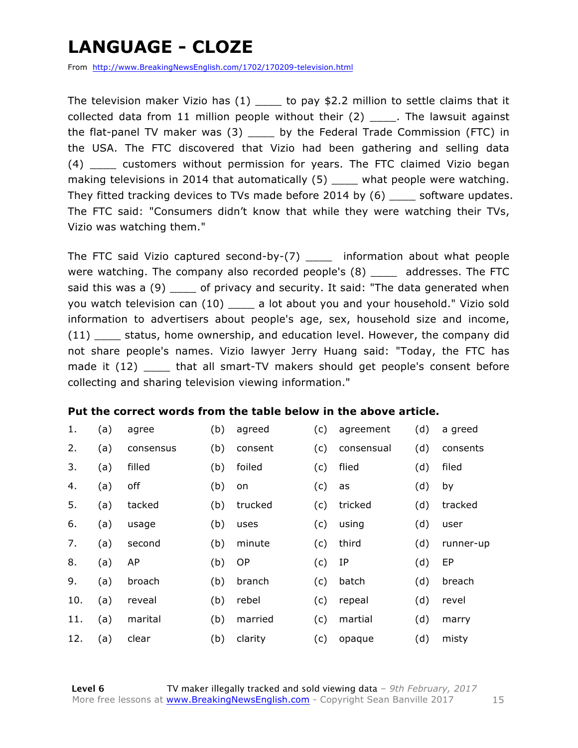## **LANGUAGE - CLOZE**

From http://www.BreakingNewsEnglish.com/1702/170209-television.html

The television maker Vizio has  $(1)$  \_\_\_\_\_ to pay \$2.2 million to settle claims that it collected data from 11 million people without their (2) The lawsuit against the flat-panel TV maker was (3) \_\_\_\_ by the Federal Trade Commission (FTC) in the USA. The FTC discovered that Vizio had been gathering and selling data (4) \_\_\_\_ customers without permission for years. The FTC claimed Vizio began making televisions in 2014 that automatically (5) \_\_\_\_ what people were watching. They fitted tracking devices to TVs made before 2014 by (6) \_\_\_\_ software updates. The FTC said: "Consumers didn't know that while they were watching their TVs, Vizio was watching them."

The FTC said Vizio captured second-by-(7) information about what people were watching. The company also recorded people's (8) \_\_\_\_ addresses. The FTC said this was a (9) \_\_\_\_\_ of privacy and security. It said: "The data generated when you watch television can (10) \_\_\_\_ a lot about you and your household." Vizio sold information to advertisers about people's age, sex, household size and income, (11) \_\_\_\_ status, home ownership, and education level. However, the company did not share people's names. Vizio lawyer Jerry Huang said: "Today, the FTC has made it (12) \_\_\_\_\_ that all smart-TV makers should get people's consent before collecting and sharing television viewing information."

#### **Put the correct words from the table below in the above article.**

| 1.  | (a) | agree     | (b) | agreed    | (c) | agreement  | (d) | a greed   |
|-----|-----|-----------|-----|-----------|-----|------------|-----|-----------|
| 2.  | (a) | consensus | (b) | consent   | (c) | consensual | (d) | consents  |
| 3.  | (a) | filled    | (b) | foiled    | (c) | flied      | (d) | filed     |
| 4.  | (a) | off       | (b) | on        | (c) | as         | (d) | by        |
| 5.  | (a) | tacked    | (b) | trucked   | (c) | tricked    | (d) | tracked   |
| 6.  | (a) | usage     | (b) | uses      | (c) | using      | (d) | user      |
| 7.  | (a) | second    | (b) | minute    | (c) | third      | (d) | runner-up |
| 8.  | (a) | AP        | (b) | <b>OP</b> | (c) | IP         | (d) | EP        |
| 9.  | (a) | broach    | (b) | branch    | (c) | batch      | (d) | breach    |
| 10. | (a) | reveal    | (b) | rebel     | (c) | repeal     | (d) | revel     |
| 11. | (a) | marital   | (b) | married   | (c) | martial    | (d) | marry     |
| 12. | (a) | clear     | (b) | clarity   | (c) | opaque     | (d) | misty     |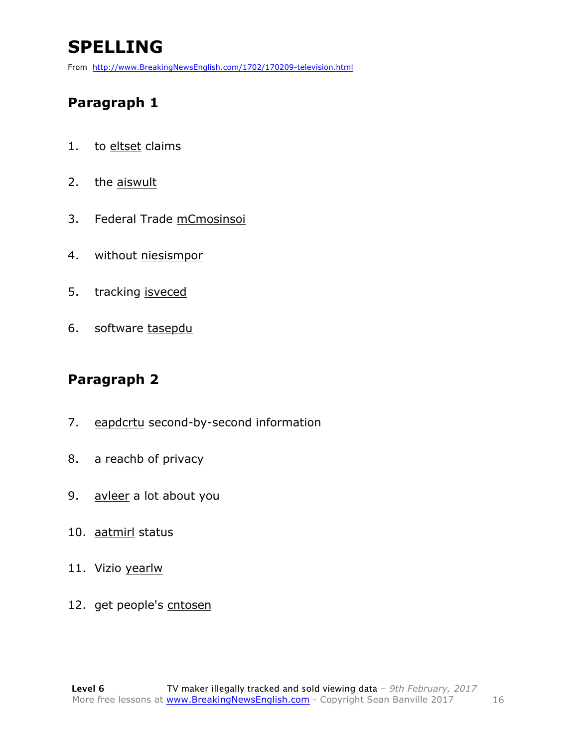## **SPELLING**

From http://www.BreakingNewsEnglish.com/1702/170209-television.html

#### **Paragraph 1**

- 1. to eltset claims
- 2. the aiswult
- 3. Federal Trade mCmosinsoi
- 4. without niesismpor
- 5. tracking isveced
- 6. software tasepdu

#### **Paragraph 2**

- 7. eapdcrtu second-by-second information
- 8. a reachb of privacy
- 9. avleer a lot about you
- 10. aatmirl status
- 11. Vizio yearlw
- 12. get people's cntosen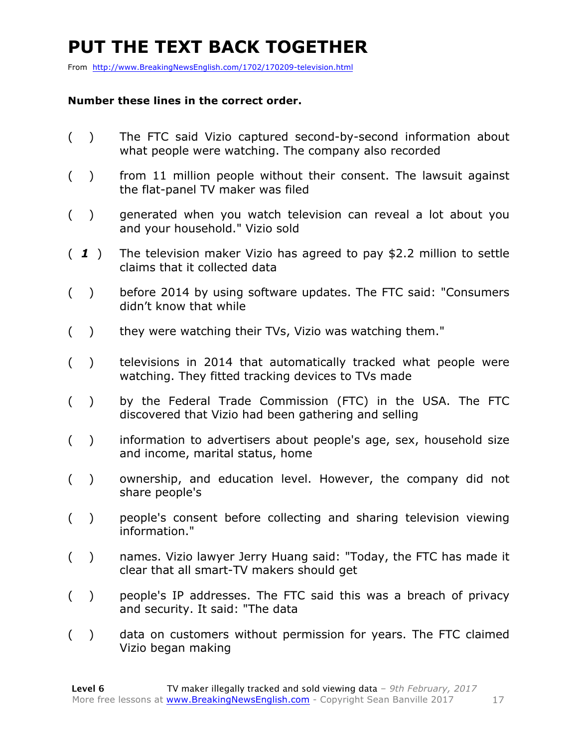## **PUT THE TEXT BACK TOGETHER**

From http://www.BreakingNewsEnglish.com/1702/170209-television.html

#### **Number these lines in the correct order.**

- ( ) The FTC said Vizio captured second-by-second information about what people were watching. The company also recorded
- ( ) from 11 million people without their consent. The lawsuit against the flat-panel TV maker was filed
- ( ) generated when you watch television can reveal a lot about you and your household." Vizio sold
- ( *1* ) The television maker Vizio has agreed to pay \$2.2 million to settle claims that it collected data
- ( ) before 2014 by using software updates. The FTC said: "Consumers didn't know that while
- () they were watching their TVs, Vizio was watching them."
- ( ) televisions in 2014 that automatically tracked what people were watching. They fitted tracking devices to TVs made
- ( ) by the Federal Trade Commission (FTC) in the USA. The FTC discovered that Vizio had been gathering and selling
- ( ) information to advertisers about people's age, sex, household size and income, marital status, home
- ( ) ownership, and education level. However, the company did not share people's
- ( ) people's consent before collecting and sharing television viewing information."
- ( ) names. Vizio lawyer Jerry Huang said: "Today, the FTC has made it clear that all smart-TV makers should get
- ( ) people's IP addresses. The FTC said this was a breach of privacy and security. It said: "The data
- ( ) data on customers without permission for years. The FTC claimed Vizio began making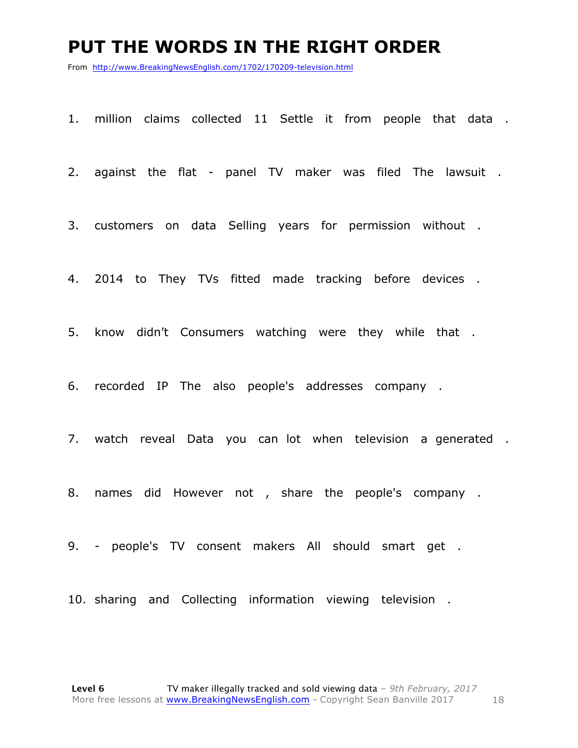#### **PUT THE WORDS IN THE RIGHT ORDER**

From http://www.BreakingNewsEnglish.com/1702/170209-television.html

1. million claims collected 11 Settle it from people that data .

2. against the flat - panel TV maker was filed The lawsuit .

3. customers on data Selling years for permission without .

4. 2014 to They TVs fitted made tracking before devices .

5. know didn't Consumers watching were they while that .

6. recorded IP The also people's addresses company .

7. watch reveal Data you can lot when television a generated .

8. names did However not , share the people's company .

9. - people's TV consent makers All should smart get .

10. sharing and Collecting information viewing television .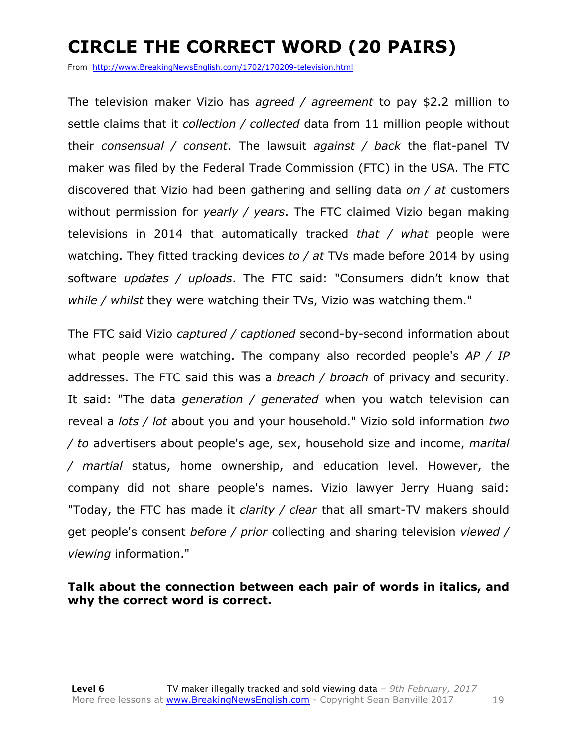## **CIRCLE THE CORRECT WORD (20 PAIRS)**

From http://www.BreakingNewsEnglish.com/1702/170209-television.html

The television maker Vizio has *agreed / agreement* to pay \$2.2 million to settle claims that it *collection / collected* data from 11 million people without their *consensual / consent*. The lawsuit *against / back* the flat-panel TV maker was filed by the Federal Trade Commission (FTC) in the USA. The FTC discovered that Vizio had been gathering and selling data *on / at* customers without permission for *yearly / years*. The FTC claimed Vizio began making televisions in 2014 that automatically tracked *that / what* people were watching. They fitted tracking devices *to / at* TVs made before 2014 by using software *updates / uploads*. The FTC said: "Consumers didn't know that *while / whilst* they were watching their TVs, Vizio was watching them."

The FTC said Vizio *captured / captioned* second-by-second information about what people were watching. The company also recorded people's *AP / IP* addresses. The FTC said this was a *breach / broach* of privacy and security. It said: "The data *generation / generated* when you watch television can reveal a *lots / lot* about you and your household." Vizio sold information *two / to* advertisers about people's age, sex, household size and income, *marital / martial* status, home ownership, and education level. However, the company did not share people's names. Vizio lawyer Jerry Huang said: "Today, the FTC has made it *clarity / clear* that all smart-TV makers should get people's consent *before / prior* collecting and sharing television *viewed / viewing* information."

#### **Talk about the connection between each pair of words in italics, and why the correct word is correct.**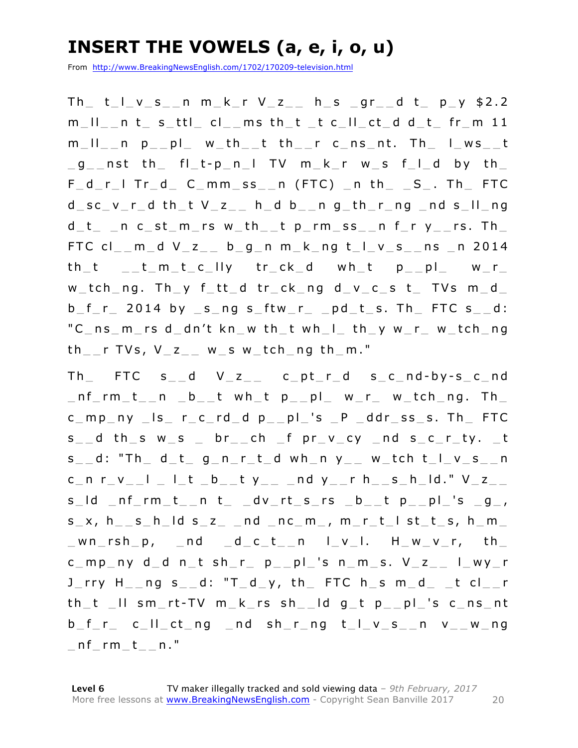## **INSERT THE VOWELS (a, e, i, o, u)**

From http://www.BreakingNewsEnglish.com/1702/170209-television.html

 $Th$  t\_l\_v\_s\_\_n m\_k\_r V\_z\_\_ h\_s \_gr\_\_d t\_ p\_y \$2.2  $m_l$  |  $l_l$  \_ n t \_ s\_ttl \_ cl \_ ms th \_t \_t c\_ ll \_ct \_d d \_t \_ fr \_m 11  $m$   $||$  n  $p$   $p$   $||$   $w$  th  $t$  th  $r$  c ns nt. Th  $|$  ws t  $g_{-}$  nst th fl\_t-p\_n\_l TV m\_k\_r w\_s f\_l\_d by th  $F_d$  r  $I$  Tr  $d$  C mm ss n (FTC) n th  $S$  . Th FTC  $d$  sc  $v$   $r$  d th t  $V$   $z$   $_$  h d  $b$   $_$  n g th  $r$  ng  $_$  nd s  $Il$  ng  $d_t$  \_ n c st m rs w th \_ t p rm ss \_ n f r y \_ rs. Th  $FTC$   $cl_{mm}$   $d$   $V_{Z_{mm}}$   $b_{g,n}$   $m_{k,n}$   $t_{l,v,s_{mm}}$  ns  $n$  2014  $th$  t  $_t$  t  $m$  t  $c$  lly tr  $ck$  d wh t  $p$   $p$   $p$   $l$   $w$   $r$ w tch ng. Th  $y$  f tt d tr ck ng d  $v$  c s t TVs m d  $b$   $f$   $r$  2014 by  $s$  ng s  $f$ tw  $r$  pd t s. Th FTC s d: "C\_ns\_m\_rs d\_dn't kn\_w th\_t wh\_l\_ th\_y w\_r\_ w\_tch\_ng  $th$ \_\_r TVs,  $V$ \_z\_\_  $w$ \_s  $w$ \_tch\_ng  $th$ \_m."

 $Th$  FTC  $s$  d  $V$   $z$  cpt d  $s$  cnd-by-scnd  $_nf$  rm t n b t wh t p pl w r w tch ng. Th  $c$  mp ny  $ls$   $r$   $c$   $rd$   $d$   $p$   $pl$   $s$   $P$   $ddr$   $ss$   $s$ . Th  $FTC$  $s$ <sub>\_\_</sub>d th\_s w\_s \_ br\_\_ch \_f pr\_v\_cy \_nd s\_c\_r\_ty. \_t s d: "Th d t  $q$  n r t d wh n y w tch t l v s n c n r v  $\perp$  l t b t y and y r h s h ld." V z s  $Id$   $_nf$   $rm$   $t$   $\rightarrow$   $r$   $t$   $\rightarrow$   $d$   $v$   $rt$   $s$   $rs$   $\rightarrow$   $b$   $\rightarrow$   $t$   $p$   $\rightarrow$   $p$   $\rightarrow$   $r$  $s_x, h_s = s_h, d_s = z_s = d_s, m_s = m_s, m_s = t_s, h_s = m_s$ wn  $rsh_p$ ,  $nd$  d c t  $n$  l v l. H  $w_1$ , th  $c$  mp ny d d n t sh  $r$  p p  $p$  s n m s. V  $z$  l wy r  $J$ <sub>rry</sub> H<sub>\_\_</sub>ng s<sub>\_\_</sub>d: "T\_d\_y, th\_ FTC h\_s m\_d\_ \_t cl\_\_r th t  $\Box$  sm rt-TV m  $k$  rs sh  $\Box$  d  $q$  t p  $p \Box$  is c ns nt  $b$  fr cll ct ng nd shrng tlvs n v w ng  $n$  f  $rm$  t  $n."$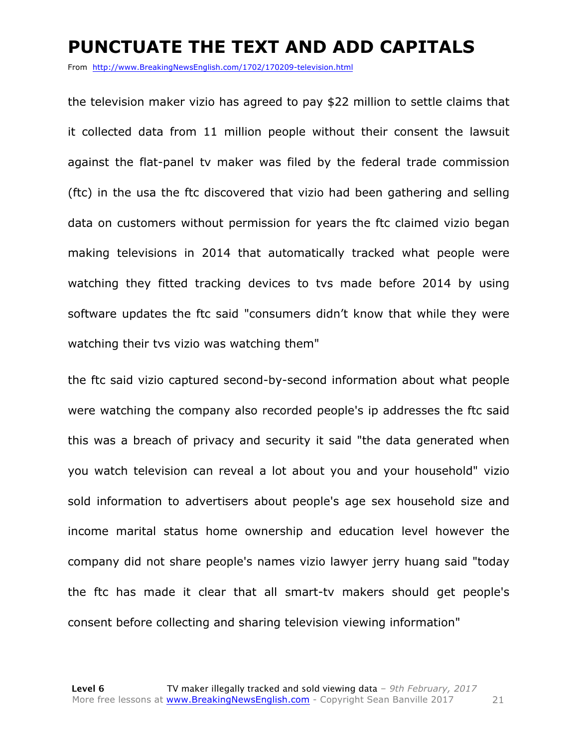#### **PUNCTUATE THE TEXT AND ADD CAPITALS**

From http://www.BreakingNewsEnglish.com/1702/170209-television.html

the television maker vizio has agreed to pay \$22 million to settle claims that it collected data from 11 million people without their consent the lawsuit against the flat-panel tv maker was filed by the federal trade commission (ftc) in the usa the ftc discovered that vizio had been gathering and selling data on customers without permission for years the ftc claimed vizio began making televisions in 2014 that automatically tracked what people were watching they fitted tracking devices to tvs made before 2014 by using software updates the ftc said "consumers didn't know that while they were watching their tvs vizio was watching them"

the ftc said vizio captured second-by-second information about what people were watching the company also recorded people's ip addresses the ftc said this was a breach of privacy and security it said "the data generated when you watch television can reveal a lot about you and your household" vizio sold information to advertisers about people's age sex household size and income marital status home ownership and education level however the company did not share people's names vizio lawyer jerry huang said "today the ftc has made it clear that all smart-tv makers should get people's consent before collecting and sharing television viewing information"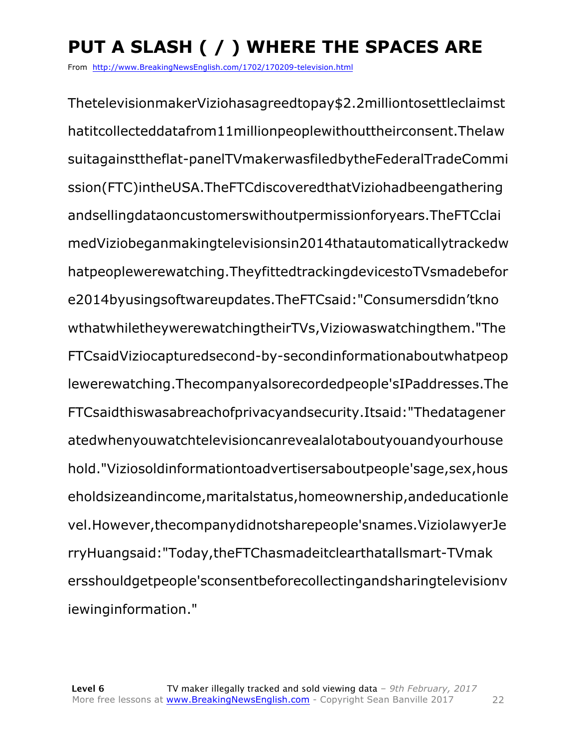## **PUT A SLASH ( / ) WHERE THE SPACES ARE**

From http://www.BreakingNewsEnglish.com/1702/170209-television.html

ThetelevisionmakerViziohasagreedtopay\$2.2milliontosettleclaimst hatitcollecteddatafrom11millionpeoplewithouttheirconsent.Thelaw suitagainsttheflat-panelTVmakerwasfiledbytheFederalTradeCommi ssion(FTC)intheUSA.TheFTCdiscoveredthatViziohadbeengathering andsellingdataoncustomerswithoutpermissionforyears.TheFTCclai medViziobeganmakingtelevisionsin2014thatautomaticallytrackedw hatpeoplewerewatching.TheyfittedtrackingdevicestoTVsmadebefor e2014byusingsoftwareupdates.TheFTCsaid:"Consumersdidn'tkno wthatwhiletheywerewatchingtheirTVs,Viziowaswatchingthem."The FTCsaidViziocapturedsecond-by-secondinformationaboutwhatpeop lewerewatching.Thecompanyalsorecordedpeople'sIPaddresses.The FTCsaidthiswasabreachofprivacyandsecurity.Itsaid:"Thedatagener atedwhenyouwatchtelevisioncanrevealalotaboutyouandyourhouse hold."Viziosoldinformationtoadvertisersaboutpeople'sage,sex,hous eholdsizeandincome,maritalstatus,homeownership,andeducationle vel.However,thecompanydidnotsharepeople'snames.ViziolawyerJe rryHuangsaid:"Today,theFTChasmadeitclearthatallsmart-TVmak ersshouldgetpeople'sconsentbeforecollectingandsharingtelevisionv iewinginformation."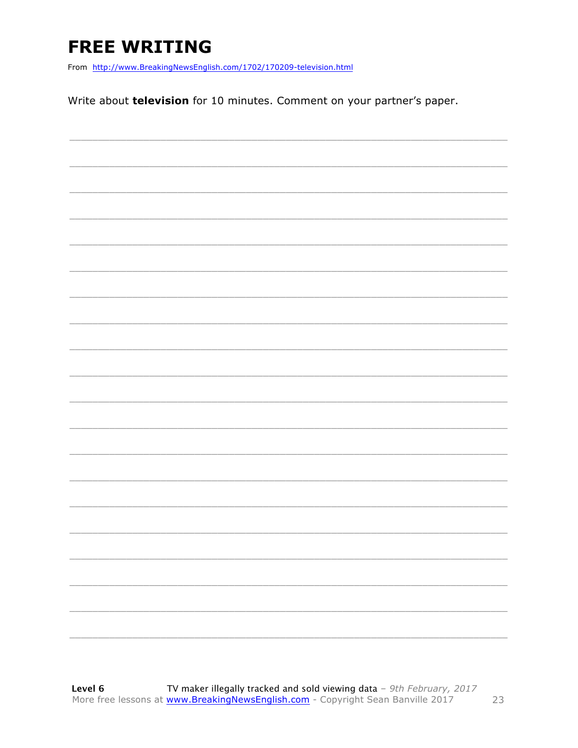## **FREE WRITING**

From http://www.BreakingNewsEnglish.com/1702/170209-television.html

Write about television for 10 minutes. Comment on your partner's paper.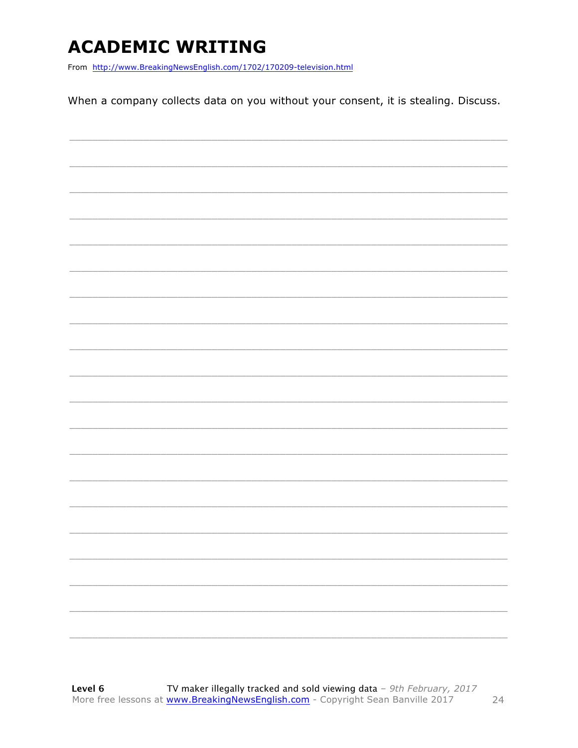## **ACADEMIC WRITING**

From http://www.BreakingNewsEnglish.com/1702/170209-television.html

When a company collects data on you without your consent, it is stealing. Discuss.

|  |  | ____ |
|--|--|------|
|  |  |      |
|  |  |      |
|  |  |      |
|  |  |      |
|  |  |      |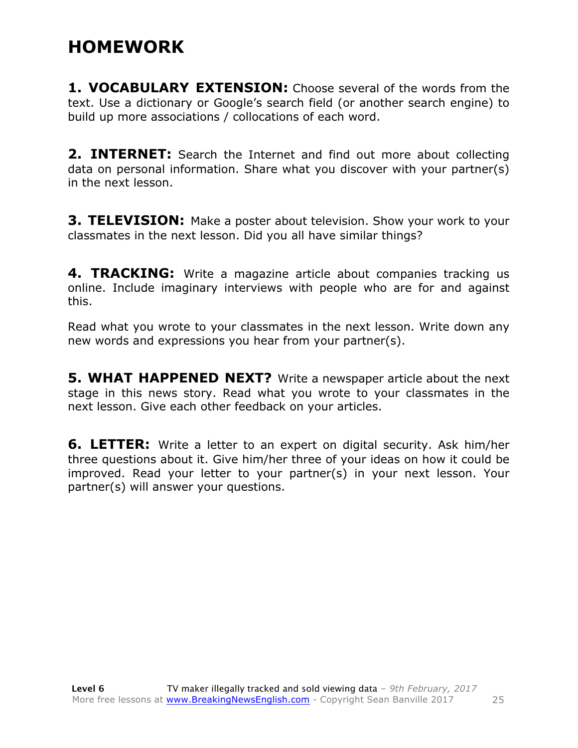#### **HOMEWORK**

**1. VOCABULARY EXTENSION:** Choose several of the words from the text. Use a dictionary or Google's search field (or another search engine) to build up more associations / collocations of each word.

**2. INTERNET:** Search the Internet and find out more about collecting data on personal information. Share what you discover with your partner(s) in the next lesson.

**3. TELEVISION:** Make a poster about television. Show your work to your classmates in the next lesson. Did you all have similar things?

**4. TRACKING:** Write a magazine article about companies tracking us online. Include imaginary interviews with people who are for and against this.

Read what you wrote to your classmates in the next lesson. Write down any new words and expressions you hear from your partner(s).

**5. WHAT HAPPENED NEXT?** Write a newspaper article about the next stage in this news story. Read what you wrote to your classmates in the next lesson. Give each other feedback on your articles.

**6. LETTER:** Write a letter to an expert on digital security. Ask him/her three questions about it. Give him/her three of your ideas on how it could be improved. Read your letter to your partner(s) in your next lesson. Your partner(s) will answer your questions.